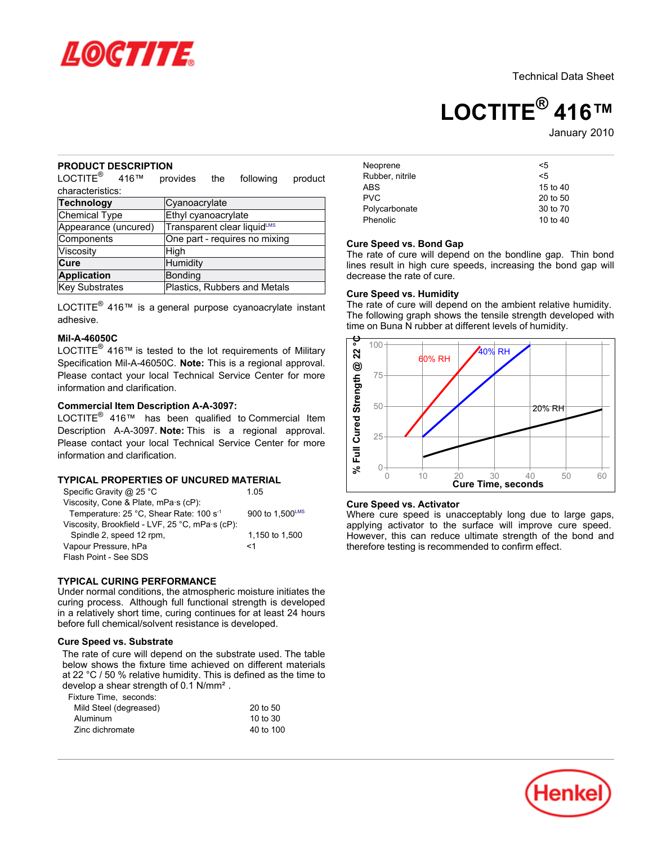

Technical Data Sheet

# **LOCTITE® 416™**

January 2010

## **PRODUCT DESCRIPTION**

 $\mathsf{LOCTITE}^\circledast$  416™ provides the following product characteristics:

| <b>Technology</b>    | Cyanoacrylate                 |
|----------------------|-------------------------------|
| Chemical Type        | Ethyl cyanoacrylate           |
| Appearance (uncured) | Transparent clear liquidLMS   |
| Components           | One part - requires no mixing |
| Viscosity            | High                          |
| Cure                 | Humidity                      |
| Application          | Bonding                       |
| Key Substrates       | Plastics, Rubbers and Metals  |

LOCTITE $^{\circledR}$  416™ is a general purpose cyanoacrylate instant adhesive.

## **Mil-A-46050C**

LOCTITE $^{\circledR}$  416™ is tested to the lot requirements of Military Specification Mil-A-46050C. **Note:** This is a regional approval. Please contact your local Technical Service Center for more information and clarification.

# **Commercial Item Description A-A-3097:**

LOCTITE® 416™ has been qualified to Commercial Item Description A-A-3097. **Note:** This is a regional approval. Please contact your local Technical Service Center for more information and clarification.

## **TYPICAL PROPERTIES OF UNCURED MATERIAL**

| Specific Gravity @ 25 °C                            | 105             |
|-----------------------------------------------------|-----------------|
| Viscosity, Cone & Plate, mPa·s (cP):                |                 |
| Temperature: 25 °C, Shear Rate: 100 s <sup>-1</sup> | 900 to 1.500LMS |
| Viscosity, Brookfield - LVF, 25 °C, mPa·s (cP):     |                 |
| Spindle 2, speed 12 rpm,                            | 1,150 to 1,500  |
| Vapour Pressure, hPa                                | <1              |
| Flash Point - See SDS                               |                 |

## **TYPICAL CURING PERFORMANCE**

Under normal conditions, the atmospheric moisture initiates the curing process. Although full functional strength is developed in a relatively short time, curing continues for at least 24 hours before full chemical/solvent resistance is developed.

## **Cure Speed vs. Substrate**

The rate of cure will depend on the substrate used. The table below shows the fixture time achieved on different materials at 22 °C / 50 % relative humidity. This is defined as the time to develop a shear strength of 0.1 N/mm².

Fixture Time, seconds:

| Mild Steel (degreased) | 20 to 50  |
|------------------------|-----------|
| Aluminum               | 10 to 30  |
| Zinc dichromate        | 40 to 100 |

| Neoprene        | <5         |
|-----------------|------------|
| Rubber, nitrile | $\leq 5$   |
| <b>ABS</b>      | 15 to 40   |
| <b>PVC</b>      | 20 to 50   |
| Polycarbonate   | 30 to 70   |
| Phenolic        | 10 to $40$ |

## **Cure Speed vs. Bond Gap**

The rate of cure will depend on the bondline gap. Thin bond lines result in high cure speeds, increasing the bond gap will decrease the rate of cure.

## **Cure Speed vs. Humidity**

The rate of cure will depend on the ambient relative humidity. The following graph shows the tensile strength developed with time on Buna N rubber at different levels of humidity.



## **Cure Speed vs. Activator**

Where cure speed is unacceptably long due to large gaps, applying activator to the surface will improve cure speed. However, this can reduce ultimate strength of the bond and therefore testing is recommended to confirm effect.

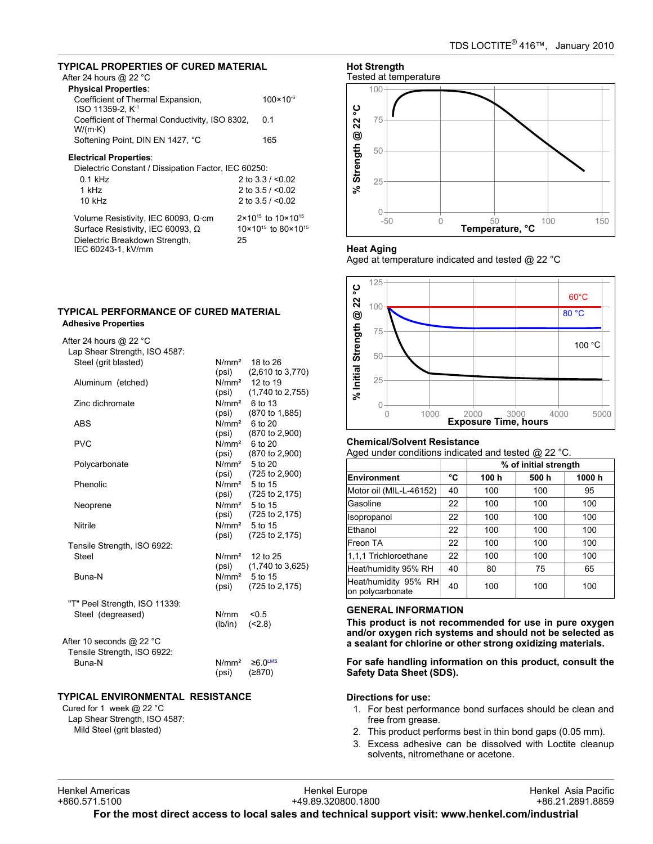# **TYPICAL PROPERTIES OF CURED MATERIAL**

# After 24 hours @ 22 °C

| <b>Physical Properties:</b>                                       |                      |
|-------------------------------------------------------------------|----------------------|
| Coefficient of Thermal Expansion,<br>ISO 11359-2. K <sup>-1</sup> | $100 \times 10^{-6}$ |
| Coefficient of Thermal Conductivity, ISO 8302,<br>W/(m·K)         | 0 1                  |
| Softening Point, DIN EN 1427, °C                                  | 165                  |
| Electrical Properties:                                            |                      |
| Dielectric Constant / Dissipation Factor, IEC 60250:              |                      |
| $0.1$ kHz                                                         | 2 to $3.3 / 0.02$    |

| 1 kHz                                      | 2 to $3.5 / < 0.02$                        |
|--------------------------------------------|--------------------------------------------|
| $10$ kHz                                   | 2 to $3.5 / < 0.02$                        |
| Volume Resistivity, IEC 60093, $\Omega$ cm | $2 \times 10^{15}$ to $10 \times 10^{15}$  |
| Surface Resistivity, IEC 60093, Ω          | $10 \times 10^{15}$ to 80 $\times 10^{15}$ |
| Dielectric Breakdown Strength,             | 25                                         |
| IEC 60243-1, kV/mm                         |                                            |

# **TYPICAL PERFORMANCE OF CURED MATERIAL Adhesive Properties**

# After 24 hours @ 22 °C

| Lap Shear Strength, ISO 4587: |                   |                             |
|-------------------------------|-------------------|-----------------------------|
| Steel (grit blasted)          | N/mm <sup>2</sup> | 18 to 26                    |
|                               | (psi)             | $(2,610 \text{ to } 3,770)$ |
| Aluminum (etched)             |                   | $N/mm2$ 12 to 19            |
|                               | (psi)             | $(1,740 \text{ to } 2,755)$ |
| Zinc dichromate               |                   | $N/mm2$ 6 to 13             |
|                               | (psi)             | (870 to 1,885)              |
| ABS                           |                   | N/mm <sup>2</sup> 6 to 20   |
|                               | (psi)             | (870 to 2,900)              |
| <b>PVC</b>                    |                   | $N/mm2$ 6 to 20             |
|                               | (psi)             | (870 to 2,900)              |
| Polycarbonate                 | N/mm <sup>2</sup> | 5 to 20                     |
|                               | (psi)             | (725 to 2,900)              |
| Phenolic                      |                   | N/mm <sup>2</sup> 5 to 15   |
|                               | (psi)             | (725 to 2,175)              |
| Neoprene                      |                   | N/mm <sup>2</sup> 5 to 15   |
|                               | (psi)             | (725 to 2,175)              |
| Nitrile                       |                   | $N/mm2$ 5 to 15             |
|                               | (psi)             | (725 to 2,175)              |
| Tensile Strength, ISO 6922:   |                   |                             |
| Steel                         | N/mm <sup>2</sup> | 12 to 25                    |
|                               | (psi)             | $(1,740 \text{ to } 3,625)$ |
| Buna-N                        |                   | N/mm <sup>2</sup> 5 to 15   |
|                               | (psi)             | (725 to 2,175)              |
|                               |                   |                             |
| "T" Peel Strength, ISO 11339: |                   |                             |
| Steel (degreased)             | N/mm              | < 0.5                       |
|                               | (lb/in)           | (2.8)                       |
|                               |                   |                             |
| After 10 seconds @ 22 °C      |                   |                             |
| Tensile Strength, ISO 6922:   |                   |                             |
| Buna-N                        | N/mm <sup>2</sup> | $≥6.0$ <sup>LMS</sup>       |
|                               | (psi)             | (≥870)                      |
|                               |                   |                             |

# **TYPICAL ENVIRONMENTAL RESISTANCE**

Cured for 1 week @ 22 °C Lap Shear Strength, ISO 4587: Mild Steel (grit blasted)



## **Heat Aging**

Aged at temperature indicated and tested @ 22 °C



## **Chemical/Solvent Resistance**

Aged under conditions indicated and tested @ 22 °C.

|                                          |    | % of initial strength |      |       |
|------------------------------------------|----|-----------------------|------|-------|
| <b>Environment</b>                       | °C | 100 h                 | 500h | 1000h |
| Motor oil (MIL-L-46152)                  | 40 | 100                   | 100  | 95    |
| Gasoline                                 | 22 | 100                   | 100  | 100   |
| Isopropanol                              | 22 | 100                   | 100  | 100   |
| Ethanol                                  | 22 | 100                   | 100  | 100   |
| Freon TA                                 | 22 | 100                   | 100  | 100   |
| 1.1.1 Trichloroethane                    | 22 | 100                   | 100  | 100   |
| Heat/humidity 95% RH                     | 40 | 80                    | 75   | 65    |
| Heat/humidity 95% RH<br>on polycarbonate | 40 | 100                   | 100  | 100   |

# **GENERAL INFORMATION**

**This product is not recommended for use in pure oxygen and/or oxygen rich systems and should not be selected as a sealant for chlorine or other strong oxidizing materials.**

**For safe handling information on this product, consult the Safety Data Sheet (SDS).**

# **Directions for use:**

- 1. For best performance bond surfaces should be clean and free from grease.
- 2. This product performs best in thin bond gaps (0.05 mm).
- 3. Excess adhesive can be dissolved with Loctite cleanup solvents, nitromethane or acetone.